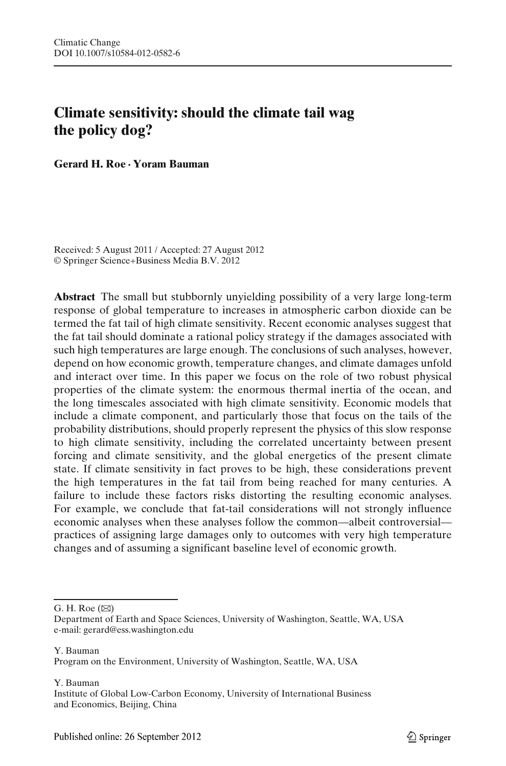# **Climate sensitivity: should the climate tail wag the policy dog?**

**Gerard H. Roe · Yoram Bauman**

Received: 5 August 2011 / Accepted: 27 August 2012 © Springer Science+Business Media B.V. 2012

**Abstract** The small but stubbornly unyielding possibility of a very large long-term response of global temperature to increases in atmospheric carbon dioxide can be termed the fat tail of high climate sensitivity. Recent economic analyses suggest that the fat tail should dominate a rational policy strategy if the damages associated with such high temperatures are large enough. The conclusions of such analyses, however, depend on how economic growth, temperature changes, and climate damages unfold and interact over time. In this paper we focus on the role of two robust physical properties of the climate system: the enormous thermal inertia of the ocean, and the long timescales associated with high climate sensitivity. Economic models that include a climate component, and particularly those that focus on the tails of the probability distributions, should properly represent the physics of this slow response to high climate sensitivity, including the correlated uncertainty between present forcing and climate sensitivity, and the global energetics of the present climate state. If climate sensitivity in fact proves to be high, these considerations prevent the high temperatures in the fat tail from being reached for many centuries. A failure to include these factors risks distorting the resulting economic analyses. For example, we conclude that fat-tail considerations will not strongly influence economic analyses when these analyses follow the common—albeit controversial practices of assigning large damages only to outcomes with very high temperature changes and of assuming a significant baseline level of economic growth.

G. H. Roe  $(\boxtimes)$ 

Y. Bauman Program on the Environment, University of Washington, Seattle, WA, USA

Y. Bauman Institute of Global Low-Carbon Economy, University of International Business and Economics, Beijing, China

Department of Earth and Space Sciences, University of Washington, Seattle, WA, USA e-mail: gerard@ess.washington.edu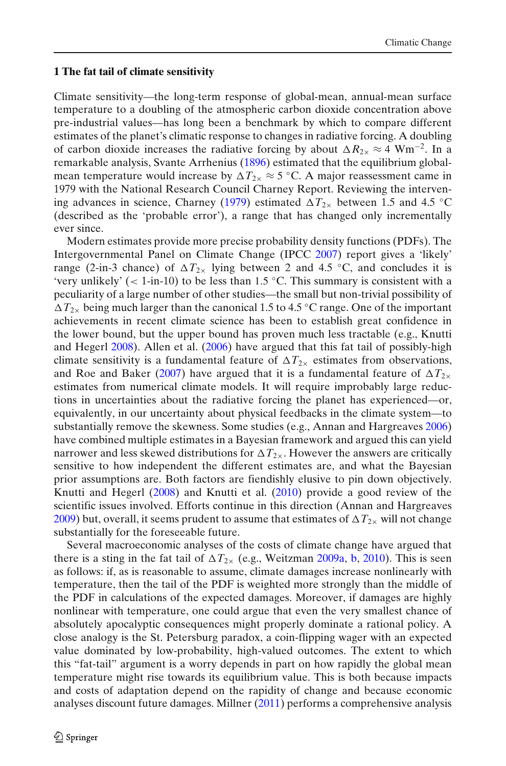## **1 The fat tail of climate sensitivity**

Climate sensitivity—the long-term response of global-mean, annual-mean surface temperature to a doubling of the atmospheric carbon dioxide concentration above pre-industrial values—has long been a benchmark by which to compare different estimates of the planet's climatic response to changes in radiative forcing. A doubling of carbon dioxide increases the radiative forcing by about  $\Delta R_{2\times} \approx 4 \text{ Wm}^{-2}$ . In a remarkable analysis, Svante Arrheniu[s](#page-14-0) [\(1896](#page-14-0)) estimated that the equilibrium globalmean temperature would increase by  $\Delta T_{2\times} \approx 5$  °C. A major reassessment came in 1979 with the National Research Council Charney Report. Reviewing the intervening advances in science, Charne[y](#page-14-0) [\(1979](#page-14-0)) estimated  $\Delta T_{2\times}$  between 1.5 and 4.5 °C (described as the 'probable error'), a range that has changed only incrementally ever since.

Modern estimates provide more precise probability density functions (PDFs). The Intergovernmental Panel on Climate Change (IPC[C](#page-14-0) [2007](#page-14-0)) report gives a 'likely' range (2-in-3 chance) of  $\Delta T_{2\times}$  lying between 2 and 4.5 °C, and concludes it is 'very unlikely' (< 1-in-10) to be less than  $1.5 \degree C$ . This summary is consistent with a peculiarity of a large number of other studies—the small but non-trivial possibility of  $\Delta T_{2\times}$  being much larger than the canonical 1.5 to 4.5 °C range. One of the important achievements in recent climate science has been to establish great confidence in the lower bound, but the upper bound has proven much less tractable (e.g., Knutti and Heger[l](#page-14-0) [2008\)](#page-14-0). Allen et al[.](#page-14-0) [\(2006\)](#page-14-0) have argued that this fat tail of possibly-high climate sensitivity is a fundamental feature of  $\Delta T_{2\times}$  estimates from observations, and Roe and Bake[r](#page-14-0) [\(2007](#page-14-0)) have argued that it is a fundamental feature of  $\Delta T_{2\times}$ estimates from numerical climate models. It will require improbably large reductions in uncertainties about the radiative forcing the planet has experienced—or, equivalently, in our uncertainty about physical feedbacks in the climate system—to substantially remove the skewness. Some studies (e.g., Annan and Hargreave[s](#page-14-0) [2006\)](#page-14-0) have combined multiple estimates in a Bayesian framework and argued this can yield narrower and less skewed distributions for  $\Delta T_{2\times}$ . However the answers are critically sensitive to how independent the different estimates are, and what the Bayesian prior assumptions are. Both factors are fiendishly elusive to pin down objectively. Knutti and Heger[l](#page-14-0) [\(2008](#page-14-0)) and Knutti et al[.](#page-14-0) [\(2010\)](#page-14-0) provide a good review of the scientific issues involved. Efforts continue in this direction (Annan and Hargreave[s](#page-14-0)  $2009)$  but, overall, it seems prudent to assume that estimates of  $\Delta T_{2\times}$  will not change substantially for the foreseeable future.

Several macroeconomic analyses of the costs of climate change have argued that there is a sti[n](#page-15-0)g in the fat tail of  $\Delta T_{2\times}$  (e.g., Weitzman [2009a](#page-15-0), [b](#page-15-0), [2010\)](#page-15-0). This is seen as follows: if, as is reasonable to assume, climate damages increase nonlinearly with temperature, then the tail of the PDF is weighted more strongly than the middle of the PDF in calculations of the expected damages. Moreover, if damages are highly nonlinear with temperature, one could argue that even the very smallest chance of absolutely apocalyptic consequences might properly dominate a rational policy. A close analogy is the St. Petersburg paradox, a coin-flipping wager with an expected value dominated by low-probability, high-valued outcomes. The extent to which this "fat-tail" argument is a worry depends in part on how rapidly the global mean temperature might rise towards its equilibrium value. This is both because impacts and costs of adaptation depend on the rapidity of change and because economic analyses discount future damages. Millne[r](#page-14-0) [\(2011\)](#page-14-0) performs a comprehensive analysis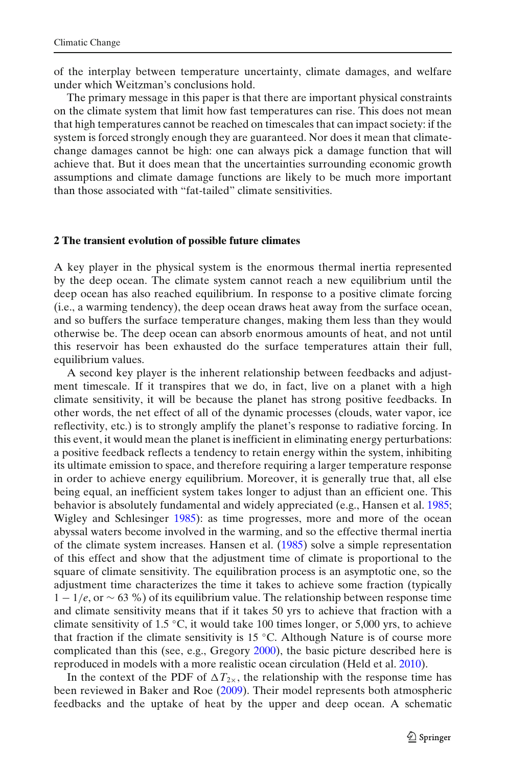<span id="page-2-0"></span>of the interplay between temperature uncertainty, climate damages, and welfare under which Weitzman's conclusions hold.

The primary message in this paper is that there are important physical constraints on the climate system that limit how fast temperatures can rise. This does not mean that high temperatures cannot be reached on timescales that can impact society: if the system is forced strongly enough they are guaranteed. Nor does it mean that climatechange damages cannot be high: one can always pick a damage function that will achieve that. But it does mean that the uncertainties surrounding economic growth assumptions and climate damage functions are likely to be much more important than those associated with "fat-tailed" climate sensitivities.

#### **2 The transient evolution of possible future climates**

A key player in the physical system is the enormous thermal inertia represented by the deep ocean. The climate system cannot reach a new equilibrium until the deep ocean has also reached equilibrium. In response to a positive climate forcing (i.e., a warming tendency), the deep ocean draws heat away from the surface ocean, and so buffers the surface temperature changes, making them less than they would otherwise be. The deep ocean can absorb enormous amounts of heat, and not until this reservoir has been exhausted do the surface temperatures attain their full, equilibrium values.

A second key player is the inherent relationship between feedbacks and adjustment timescale. If it transpires that we do, in fact, live on a planet with a high climate sensitivity, it will be because the planet has strong positive feedbacks. In other words, the net effect of all of the dynamic processes (clouds, water vapor, ice reflectivity, etc.) is to strongly amplify the planet's response to radiative forcing. In this event, it would mean the planet is inefficient in eliminating energy perturbations: a positive feedback reflects a tendency to retain energy within the system, inhibiting its ultimate emission to space, and therefore requiring a larger temperature response in order to achieve energy equilibrium. Moreover, it is generally true that, all else being equal, an inefficient system takes longer to adjust than an efficient one. This behavior is absolutely fundamental and widely appreciated (e.g., Hansen et al[.](#page-14-0) [1985](#page-14-0); Wigley and Schlesinge[r](#page-15-0) [1985](#page-15-0)): as time progresses, more and more of the ocean abyssal waters become involved in the warming, and so the effective thermal inertia of the climate system increases. Hansen et al[.](#page-14-0) [\(1985](#page-14-0)) solve a simple representation of this effect and show that the adjustment time of climate is proportional to the square of climate sensitivity. The equilibration process is an asymptotic one, so the adjustment time characterizes the time it takes to achieve some fraction (typically 1 − 1/*e*, or ∼ 63 %) of its equilibrium value. The relationship between response time and climate sensitivity means that if it takes 50 yrs to achieve that fraction with a climate sensitivity of 1.5  $\degree$ C, it would take 100 times longer, or 5,000 yrs, to achieve that fraction if the climate sensitivity is 15 ◦C. Although Nature is of course more complicated than this (see, e.g., Gregor[y](#page-14-0) [2000\)](#page-14-0), the basic picture described here is reproduced in models with a more realistic ocean circulation (Held et al[.](#page-14-0) [2010\)](#page-14-0).

In the context of the PDF of  $\Delta T_{2\times}$ , the relationship with the response time has b[e](#page-14-0)en reviewed in Baker and Roe [\(2009\)](#page-14-0). Their model represents both atmospheric feedbacks and the uptake of heat by the upper and deep ocean. A schematic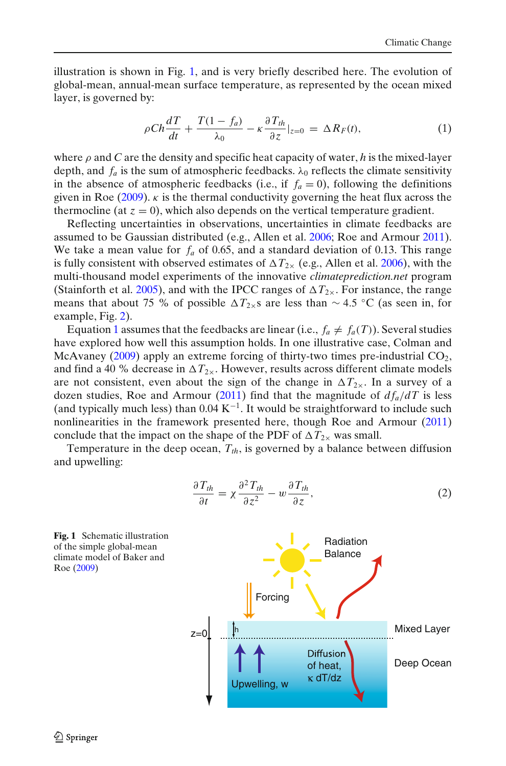<span id="page-3-0"></span>illustration is shown in Fig. 1, and is very briefly described here. The evolution of global-mean, annual-mean surface temperature, as represented by the ocean mixed layer, is governed by:

$$
\rho Ch \frac{dT}{dt} + \frac{T(1 - f_a)}{\lambda_0} - \kappa \frac{\partial T_{th}}{\partial z} |_{z=0} = \Delta R_F(t), \tag{1}
$$

where  $\rho$  and *C* are the density and specific heat capacity of water, *h* is the mixed-layer depth, and  $f_a$  is the sum of atmospheric feedbacks.  $\lambda_0$  reflects the climate sensitivity in the absence of atmospheric feedbacks (i.e., if  $f_a = 0$ ), following the definitions giv[e](#page-14-0)n in Roe [\(2009](#page-14-0)).  $\kappa$  is the thermal conductivity governing the heat flux across the thermocline (at  $z = 0$ ), which also depends on the vertical temperature gradient.

Reflecting uncertainties in observations, uncertainties in climate feedbacks are assumed to be Gaussian distributed (e.g., Allen et al[.](#page-14-0) [2006;](#page-14-0) Roe and Armou[r](#page-14-0) [2011\)](#page-14-0). We take a mean value for  $f_a$  of 0.65, and a standard deviation of 0.13. This range is fully consistent with observed estimates of  $\Delta T_{2\times}$  (e[.](#page-14-0)g., Allen et al. [2006](#page-14-0)), with the multi-thousand model experiments of the innovative *climateprediction.net* program (Stainforth et al[.](#page-15-0) [2005](#page-15-0)), and with the IPCC ranges of  $\Delta T_{2\times}$ . For instance, the range means that about 75 % of possible  $\Delta T_{2\times}$ s are less than ~4.5 °C (as seen in, for example, Fig. [2\)](#page-4-0).

Equation 1 assumes that the feedbacks are linear (i.e.,  $f_a \neq f_a(T)$ ). Several studies have explored how well this assumption holds. In one illustrative case, Colman and McAvane[y](#page-14-0) [\(2009\)](#page-14-0) apply an extreme forcing of thirty-two times pre-industrial  $CO<sub>2</sub>$ , and find a 40 % decrease in  $\Delta T_{2\times}$ . However, results across different climate models are not consistent, even about the sign of the change in  $\Delta T_{2\times}$ . In a survey of a dozen studies, Roe and A[r](#page-14-0)mour [\(2011](#page-14-0)) find that the magnitude of  $d f_a/dT$  is less (and typically much less) than  $0.04 \text{ K}^{-1}$ . It would be straightforward to include such nonlinearities in the framework presented here, though Roe and Armou[r](#page-14-0) [\(2011\)](#page-14-0) conclude that the impact on the shape of the PDF of  $\Delta T_{2\times}$  was small.

Temperature in the deep ocean,  $T_{th}$ , is governed by a balance between diffusion and upwelling:

$$
\frac{\partial T_{th}}{\partial t} = \chi \frac{\partial^2 T_{th}}{\partial z^2} - w \frac{\partial T_{th}}{\partial z},\tag{2}
$$



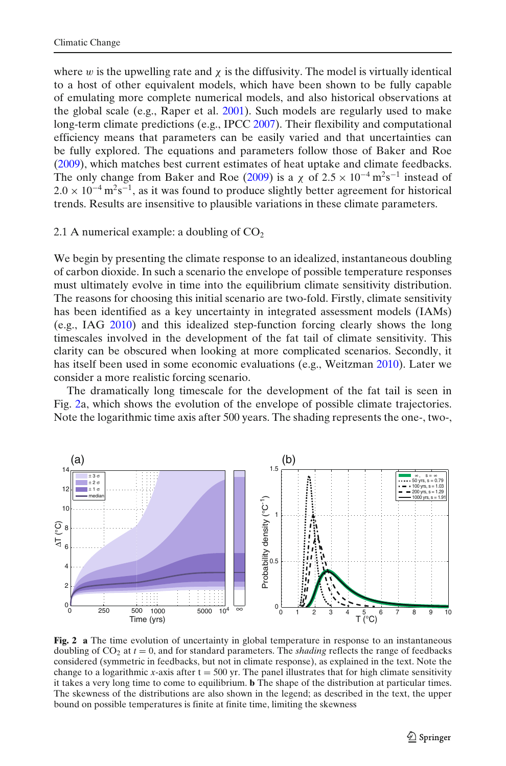<span id="page-4-0"></span>where w is the upwelling rate and  $\chi$  is the diffusivity. The model is virtually identical to a host of other equivalent models, which have been shown to be fully capable of emulating more complete numerical models, and also historical observations at the global scale (e.g., Raper et al[.](#page-14-0) [2001](#page-14-0)). Such models are regularly used to make long-term climate predictions (e.g., IPC[C](#page-14-0) [2007](#page-14-0)). Their flexibility and computational efficiency means that parameters can be easily varied and that uncertainties can be fully explored. The equations and parameters follow those of Baker and Ro[e](#page-14-0) [\(2009](#page-14-0)), which matches best current estimates of heat uptake and climate feedbacks. Th[e](#page-14-0) only change from Baker and Roe [\(2009\)](#page-14-0) is a  $\chi$  of 2.5 × 10<sup>-4</sup> m<sup>2</sup>s<sup>-1</sup> instead of  $2.0 \times 10^{-4}$  m<sup>2</sup>s<sup>-1</sup>, as it was found to produce slightly better agreement for historical trends. Results are insensitive to plausible variations in these climate parameters.

## 2.1 A numerical example: a doubling of  $CO<sub>2</sub>$

We begin by presenting the climate response to an idealized, instantaneous doubling of carbon dioxide. In such a scenario the envelope of possible temperature responses must ultimately evolve in time into the equilibrium climate sensitivity distribution. The reasons for choosing this initial scenario are two-fold. Firstly, climate sensitivity has been identified as a key uncertainty in integrated assessment models (IAMs) (e.g., IA[G](#page-14-0) [2010\)](#page-14-0) and this idealized step-function forcing clearly shows the long timescales involved in the development of the fat tail of climate sensitivity. This clarity can be obscured when looking at more complicated scenarios. Secondly, it has itself been used in some economic evaluations (e.g., Weitzma[n](#page-15-0) [2010](#page-15-0)). Later we consider a more realistic forcing scenario.

The dramatically long timescale for the development of the fat tail is seen in Fig. 2a, which shows the evolution of the envelope of possible climate trajectories. Note the logarithmic time axis after 500 years. The shading represents the one-, two-,



**Fig. 2 a** The time evolution of uncertainty in global temperature in response to an instantaneous doubling of  $CO_2$  at  $t = 0$ , and for standard parameters. The *shading* reflects the range of feedbacks considered (symmetric in feedbacks, but not in climate response), as explained in the text. Note the change to a logarithmic *x*-axis after  $t = 500$  yr. The panel illustrates that for high climate sensitivity it takes a very long time to come to equilibrium. **b** The shape of the distribution at particular times. The skewness of the distributions are also shown in the legend; as described in the text, the upper bound on possible temperatures is finite at finite time, limiting the skewness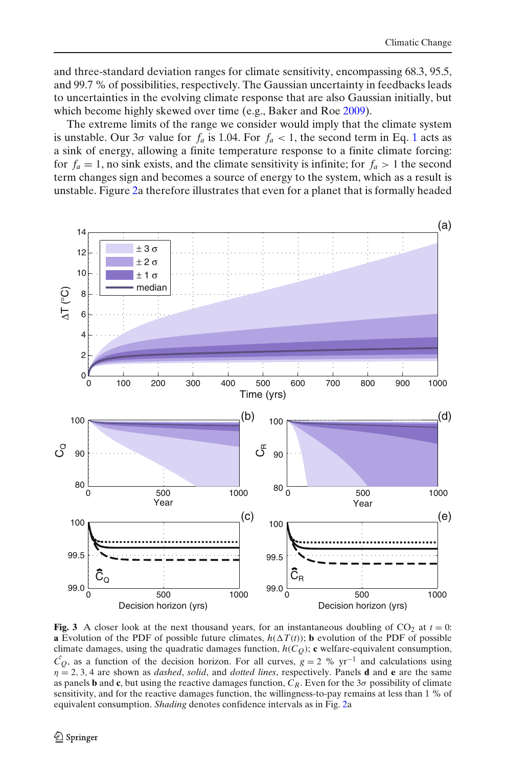<span id="page-5-0"></span>and three-standard deviation ranges for climate sensitivity, encompassing 68.3, 95.5, and 99.7 % of possibilities, respectively. The Gaussian uncertainty in feedbacks leads to uncertainties in the evolving climate response that are also Gaussian initially, but which b[e](#page-14-0)come highly skewed over time (e.g., Baker and Roe [2009](#page-14-0)).

The extreme limits of the range we consider would imply that the climate system is unstable. Our  $3\sigma$  value for  $f_a$  is [1](#page-3-0).04. For  $f_a < 1$ , the second term in Eq. 1 acts as a sink of energy, allowing a finite temperature response to a finite climate forcing: for  $f_a = 1$ , no sink exists, and the climate sensitivity is infinite; for  $f_a > 1$  the second term changes sign and becomes a source of energy to the system, which as a result is unstable. Figure [2a](#page-4-0) therefore illustrates that even for a planet that is formally headed



**Fig. 3** A closer look at the next thousand years, for an instantaneous doubling of  $CO_2$  at  $t = 0$ : **a** Evolution of the PDF of possible future climates,  $h(\Delta T(t))$ ; **b** evolution of the PDF of possible climate damages, using the quadratic damages function,  $h(C<sub>O</sub>)$ ; **c** welfare-equivalent consumption,  $\hat{C}_Q$ , as a function of the decision horizon. For all curves,  $g = 2$  % yr<sup>-1</sup> and calculations using  $\eta = 2, 3, 4$  are shown as *dashed*, *solid*, and *dotted lines*, respectively. Panels **d** and **e** are the same as panels **b** and **c**, but using the reactive damages function,  $C_R$ . Even for the  $3\sigma$  possibility of climate sensitivity, and for the reactive damages function, the willingness-to-pay remains at less than 1 % of equivalent consumption. *Shading* denotes confidence intervals as in Fig. [2a](#page-4-0)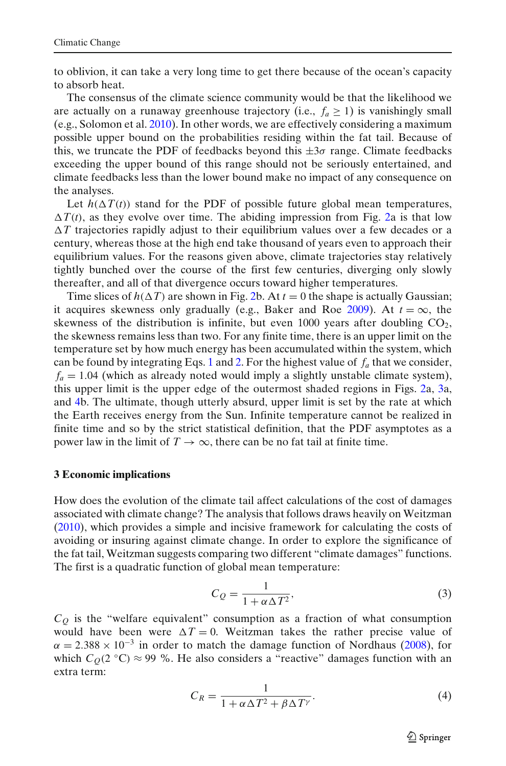<span id="page-6-0"></span>to oblivion, it can take a very long time to get there because of the ocean's capacity to absorb heat.

The consensus of the climate science community would be that the likelihood we are actually on a runaway greenhouse trajectory (i.e.,  $f_a \ge 1$ ) is vanishingly small (e.g., Solomon et al[.](#page-15-0) [2010\)](#page-15-0). In other words, we are effectively considering a maximum possible upper bound on the probabilities residing within the fat tail. Because of this, we truncate the PDF of feedbacks beyond this  $\pm 3\sigma$  range. Climate feedbacks exceeding the upper bound of this range should not be seriously entertained, and climate feedbacks less than the lower bound make no impact of any consequence on the analyses.

Let  $h(\Delta T(t))$  stand for the PDF of possible future global mean temperatures,  $\Delta T(t)$ , as they evolve over time. The abiding impression from Fig. [2a](#page-4-0) is that low  $\Delta T$  trajectories rapidly adjust to their equilibrium values over a few decades or a century, whereas those at the high end take thousand of years even to approach their equilibrium values. For the reasons given above, climate trajectories stay relatively tightly bunched over the course of the first few centuries, diverging only slowly thereafter, and all of that divergence occurs toward higher temperatures.

Time slices of  $h(\Delta T)$  are shown in Fig. [2b](#page-4-0). At  $t = 0$  the shape is actually Gaussian; it acquir[e](#page-14-0)s skewness only gradually (e.g., Baker and Roe [2009\)](#page-14-0). At  $t = \infty$ , the skewness of the distribution is infinite, but even 1000 years after doubling  $CO<sub>2</sub>$ , the skewness remains less than two. For any finite time, there is an upper limit on the temperature set by how much energy has been accumulated within the system, which can be found by integrating Eqs. [1](#page-3-0) and [2.](#page-3-0) For the highest value of  $f_a$  that we consider,  $f_a = 1.04$  (which as already noted would imply a slightly unstable climate system), this upper limit is the upper edge of the outermost shaded regions in Figs. [2a](#page-4-0), [3a](#page-5-0), and [4b](#page-8-0). The ultimate, though utterly absurd, upper limit is set by the rate at which the Earth receives energy from the Sun. Infinite temperature cannot be realized in finite time and so by the strict statistical definition, that the PDF asymptotes as a power law in the limit of  $T \to \infty$ , there can be no fat tail at finite time.

#### **3 Economic implications**

How does the evolution of the climate tail affect calculations of the cost of damages associated with climate change? The analysis that follows draws heavily on Weitzma[n](#page-15-0) [\(2010](#page-15-0)), which provides a simple and incisive framework for calculating the costs of avoiding or insuring against climate change. In order to explore the significance of the fat tail, Weitzman suggests comparing two different "climate damages" functions. The first is a quadratic function of global mean temperature:

$$
C_Q = \frac{1}{1 + \alpha \Delta T^2},\tag{3}
$$

 $C_Q$  is the "welfare equivalent" consumption as a fraction of what consumption would have been were  $\Delta T = 0$ . Weitzman takes the rather precise value of  $\alpha = 2.388 \times 10^{-3}$  $\alpha = 2.388 \times 10^{-3}$  $\alpha = 2.388 \times 10^{-3}$  in order to match the damage function of Nordhaus [\(2008\)](#page-14-0), for which  $C_Q(2 \text{ }^\circ\text{C}) \approx 99$  %. He also considers a "reactive" damages function with an extra term:

$$
C_R = \frac{1}{1 + \alpha \Delta T^2 + \beta \Delta T^{\gamma}}.
$$
\n(4)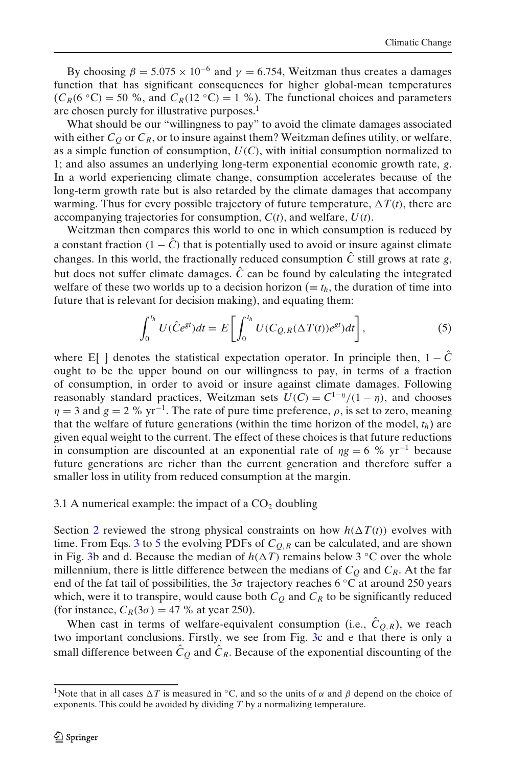By choosing  $\beta = 5.075 \times 10^{-6}$  and  $\gamma = 6.754$ , Weitzman thus creates a damages function that has significant consequences for higher global-mean temperatures  $(C_R(6 °C) = 50 %$ , and  $C_R(12 °C) = 1 %$ ). The functional choices and parameters are chosen purely for illustrative purposes.<sup>1</sup>

What should be our "willingness to pay" to avoid the climate damages associated with either  $C_Q$  or  $C_R$ , or to insure against them? Weitzman defines utility, or welfare, as a simple function of consumption,  $U(C)$ , with initial consumption normalized to 1; and also assumes an underlying long-term exponential economic growth rate, *g*. In a world experiencing climate change, consumption accelerates because of the long-term growth rate but is also retarded by the climate damages that accompany warming. Thus for every possible trajectory of future temperature,  $\Delta T(t)$ , there are accompanying trajectories for consumption, *C*(*t*), and welfare, *U*(*t*).

Weitzman then compares this world to one in which consumption is reduced by a constant fraction  $(1 - \hat{C})$  that is potentially used to avoid or insure against climate changes. In this world, the fractionally reduced consumption  $\hat{C}$  still grows at rate *g*, but does not suffer climate damages.  $\hat{C}$  can be found by calculating the integrated welfare of these two worlds up to a decision horizon ( $\equiv t_h$ , the duration of time into future that is relevant for decision making), and equating them:

$$
\int_0^{t_h} U(\hat{C}e^{gt})dt = E\left[\int_0^{t_h} U(C_{Q,R}(\Delta T(t))e^{gt})dt\right],\tag{5}
$$

where E[ ] denotes the statistical expectation operator. In principle then,  $1 - \hat{C}$ ought to be the upper bound on our willingness to pay, in terms of a fraction of consumption, in order to avoid or insure against climate damages. Following reasonably standard practices, Weitzman sets  $U(C) = C^{1-\eta}/(1-\eta)$ , and chooses  $\eta = 3$  and  $g = 2$  % yr<sup>-1</sup>. The rate of pure time preference,  $\rho$ , is set to zero, meaning that the welfare of future generations (within the time horizon of the model,  $t_h$ ) are given equal weight to the current. The effect of these choices is that future reductions in consumption are discounted at an exponential rate of  $n*g* = 6 %  $\nu r^{-1}$  because$ future generations are richer than the current generation and therefore suffer a smaller loss in utility from reduced consumption at the margin.

## 3.1 A numerical example: the impact of a  $CO<sub>2</sub>$  doubling

Section [2](#page-2-0) reviewed the strong physical constraints on how  $h(\Delta T(t))$  evolves with time. From Eqs. [3](#page-6-0) to 5 the evolving PDFs of  $C_{O,R}$  can be calculated, and are shown in Fig. [3b](#page-5-0) and d. Because the median of  $h(\Delta T)$  remains below 3 °C over the whole millennium, there is little difference between the medians of  $C_Q$  and  $C_R$ . At the far end of the fat tail of possibilities, the  $3\sigma$  trajectory reaches 6 °C at around 250 years which, were it to transpire, would cause both  $C_Q$  and  $C_R$  to be significantly reduced (for instance,  $C_R(3\sigma) = 47$  % at year 250).

When cast in terms of welfare-equivalent consumption (i.e.,  $\hat{C}_{O,R}$ ), we reach two important conclusions. Firstly, we see from Fig. [3c](#page-5-0) and e that there is only a small difference between  $\hat{C}_O$  and  $\hat{C}_R$ . Because of the exponential discounting of the

<sup>&</sup>lt;sup>1</sup>Note that in all cases  $\Delta T$  is measured in  $°C$ , and so the units of  $\alpha$  and  $\beta$  depend on the choice of exponents. This could be avoided by dividing *T* by a normalizing temperature.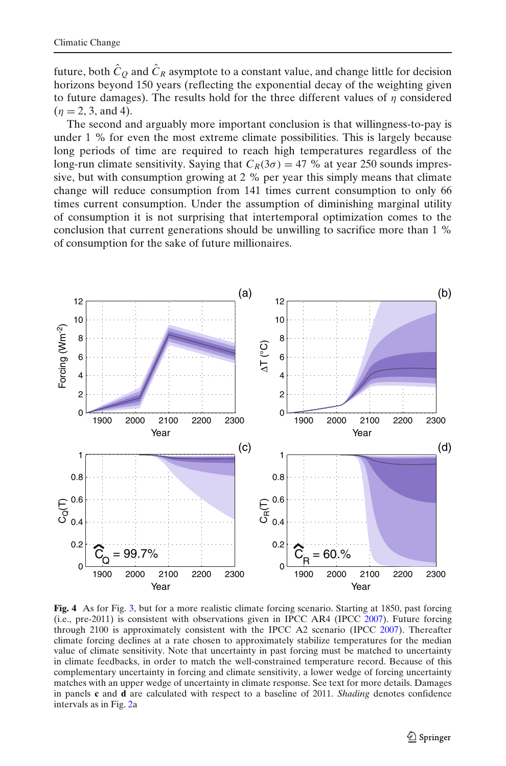<span id="page-8-0"></span>future, both  $\hat{C}_O$  and  $\hat{C}_R$  asymptote to a constant value, and change little for decision horizons beyond 150 years (reflecting the exponential decay of the weighting given to future damages). The results hold for the three different values of  $\eta$  considered  $(n = 2, 3, \text{ and } 4).$ 

The second and arguably more important conclusion is that willingness-to-pay is under 1 % for even the most extreme climate possibilities. This is largely because long periods of time are required to reach high temperatures regardless of the long-run climate sensitivity. Saying that  $C_R(3\sigma) = 47$  % at year 250 sounds impressive, but with consumption growing at 2 % per year this simply means that climate change will reduce consumption from 141 times current consumption to only 66 times current consumption. Under the assumption of diminishing marginal utility of consumption it is not surprising that intertemporal optimization comes to the conclusion that current generations should be unwilling to sacrifice more than 1 % of consumption for the sake of future millionaires.



**Fig. 4** As for Fig. [3,](#page-5-0) but for a more realistic climate forcing scenario. Starting at 1850, past forcing (i.e., pre-2011) is consistent with observations given in IPCC AR4 (IPC[C](#page-14-0) [2007\)](#page-14-0). Future forcing through 2100 is approximately consistent with the IPCC A2 scenario (IPC[C](#page-14-0) [2007](#page-14-0)). Thereafter climate forcing declines at a rate chosen to approximately stabilize temperatures for the median value of climate sensitivity. Note that uncertainty in past forcing must be matched to uncertainty in climate feedbacks, in order to match the well-constrained temperature record. Because of this complementary uncertainty in forcing and climate sensitivity, a lower wedge of forcing uncertainty matches with an upper wedge of uncertainty in climate response. See text for more details. Damages in panels **c** and **d** are calculated with respect to a baseline of 2011. *Shading* denotes confidence intervals as in Fig. [2a](#page-4-0)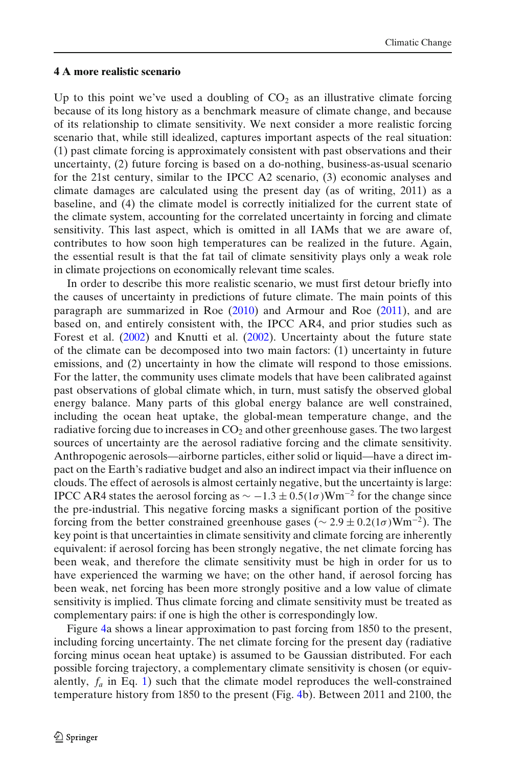#### **4 A more realistic scenario**

Up to this point we've used a doubling of  $CO<sub>2</sub>$  as an illustrative climate forcing because of its long history as a benchmark measure of climate change, and because of its relationship to climate sensitivity. We next consider a more realistic forcing scenario that, while still idealized, captures important aspects of the real situation: (1) past climate forcing is approximately consistent with past observations and their uncertainty, (2) future forcing is based on a do-nothing, business-as-usual scenario for the 21st century, similar to the IPCC A2 scenario, (3) economic analyses and climate damages are calculated using the present day (as of writing, 2011) as a baseline, and (4) the climate model is correctly initialized for the current state of the climate system, accounting for the correlated uncertainty in forcing and climate sensitivity. This last aspect, which is omitted in all IAMs that we are aware of, contributes to how soon high temperatures can be realized in the future. Again, the essential result is that the fat tail of climate sensitivity plays only a weak role in climate projections on economically relevant time scales.

In order to describe this more realistic scenario, we must first detour briefly into the causes of uncertainty in predictions of future climate. The main points of this paragraph are summarized in Ro[e](#page-14-0) [\(2010\)](#page-14-0) and Armour and Ro[e](#page-14-0) [\(2011\)](#page-14-0), and are based on, and entirely consistent with, the IPCC AR4, and prior studies such as Forest et al[.](#page-14-0) [\(2002](#page-14-0)) and Knutti et al[.](#page-14-0) [\(2002\)](#page-14-0). Uncertainty about the future state of the climate can be decomposed into two main factors: (1) uncertainty in future emissions, and (2) uncertainty in how the climate will respond to those emissions. For the latter, the community uses climate models that have been calibrated against past observations of global climate which, in turn, must satisfy the observed global energy balance. Many parts of this global energy balance are well constrained, including the ocean heat uptake, the global-mean temperature change, and the radiative forcing due to increases in  $CO<sub>2</sub>$  and other greenhouse gases. The two largest sources of uncertainty are the aerosol radiative forcing and the climate sensitivity. Anthropogenic aerosols—airborne particles, either solid or liquid—have a direct impact on the Earth's radiative budget and also an indirect impact via their influence on clouds. The effect of aerosols is almost certainly negative, but the uncertainty is large: IPCC AR4 states the aerosol forcing as  $\sim -1.3 \pm 0.5(1\sigma)$ Wm<sup>-2</sup> for the change since the pre-industrial. This negative forcing masks a significant portion of the positive forcing from the better constrained greenhouse gases ( $\sim 2.9 \pm 0.2(1\sigma) \text{Wm}^{-2}$ ). The key point is that uncertainties in climate sensitivity and climate forcing are inherently equivalent: if aerosol forcing has been strongly negative, the net climate forcing has been weak, and therefore the climate sensitivity must be high in order for us to have experienced the warming we have; on the other hand, if aerosol forcing has been weak, net forcing has been more strongly positive and a low value of climate sensitivity is implied. Thus climate forcing and climate sensitivity must be treated as complementary pairs: if one is high the other is correspondingly low.

Figure [4a](#page-8-0) shows a linear approximation to past forcing from 1850 to the present, including forcing uncertainty. The net climate forcing for the present day (radiative forcing minus ocean heat uptake) is assumed to be Gaussian distributed. For each possible forcing trajectory, a complementary climate sensitivity is chosen (or equivalently,  $f_a$  in Eq. [1\)](#page-3-0) such that the climate model reproduces the well-constrained temperature history from 1850 to the present (Fig. [4b](#page-8-0)). Between 2011 and 2100, the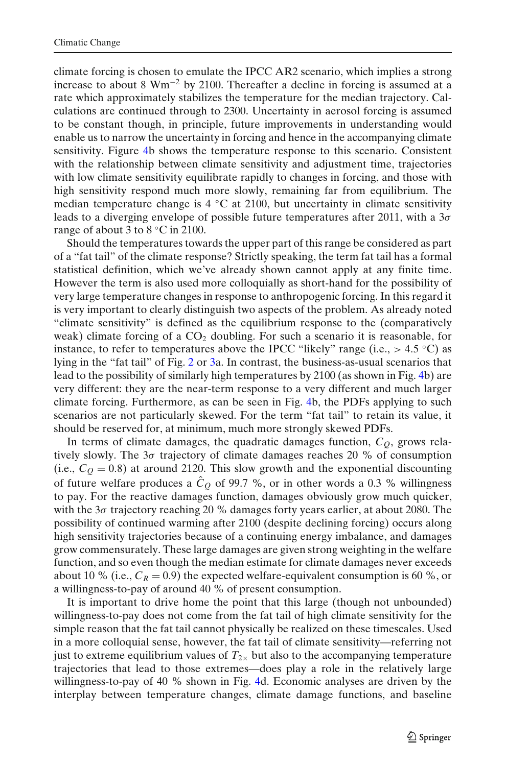climate forcing is chosen to emulate the IPCC AR2 scenario, which implies a strong increase to about 8 Wm<sup>-2</sup> by 2100. Thereafter a decline in forcing is assumed at a rate which approximately stabilizes the temperature for the median trajectory. Calculations are continued through to 2300. Uncertainty in aerosol forcing is assumed to be constant though, in principle, future improvements in understanding would enable us to narrow the uncertainty in forcing and hence in the accompanying climate sensitivity. Figure [4b](#page-8-0) shows the temperature response to this scenario. Consistent with the relationship between climate sensitivity and adjustment time, trajectories with low climate sensitivity equilibrate rapidly to changes in forcing, and those with high sensitivity respond much more slowly, remaining far from equilibrium. The median temperature change is  $4 °C$  at 2100, but uncertainty in climate sensitivity leads to a diverging envelope of possible future temperatures after 2011, with a  $3\sigma$ range of about 3 to  $8 °C$  in 2100.

Should the temperatures towards the upper part of this range be considered as part of a "fat tail" of the climate response? Strictly speaking, the term fat tail has a formal statistical definition, which we've already shown cannot apply at any finite time. However the term is also used more colloquially as short-hand for the possibility of very large temperature changes in response to anthropogenic forcing. In this regard it is very important to clearly distinguish two aspects of the problem. As already noted "climate sensitivity" is defined as the equilibrium response to the (comparatively weak) climate forcing of a  $CO<sub>2</sub>$  doubling. For such a scenario it is reasonable, for instance, to refer to temperatures above the IPCC "likely" range (i.e.,  $> 4.5 \degree C$ ) as lying in the "fat tail" of Fig. [2](#page-4-0) or [3a](#page-5-0). In contrast, the business-as-usual scenarios that lead to the possibility of similarly high temperatures by 2100 (as shown in Fig. [4b](#page-8-0)) are very different: they are the near-term response to a very different and much larger climate forcing. Furthermore, as can be seen in Fig. [4b](#page-8-0), the PDFs applying to such scenarios are not particularly skewed. For the term "fat tail" to retain its value, it should be reserved for, at minimum, much more strongly skewed PDFs.

In terms of climate damages, the quadratic damages function,  $C_Q$ , grows relatively slowly. The  $3\sigma$  trajectory of climate damages reaches 20 % of consumption (i.e.,  $C_Q = 0.8$ ) at around 2120. This slow growth and the exponential discounting of future welfare produces a  $\hat{C}_O$  of 99.7 %, or in other words a 0.3 % willingness to pay. For the reactive damages function, damages obviously grow much quicker, with the  $3\sigma$  trajectory reaching 20 % damages forty years earlier, at about 2080. The possibility of continued warming after 2100 (despite declining forcing) occurs along high sensitivity trajectories because of a continuing energy imbalance, and damages grow commensurately. These large damages are given strong weighting in the welfare function, and so even though the median estimate for climate damages never exceeds about 10 % (i.e.,  $C_R = 0.9$ ) the expected welfare-equivalent consumption is 60 %, or a willingness-to-pay of around 40 % of present consumption.

It is important to drive home the point that this large (though not unbounded) willingness-to-pay does not come from the fat tail of high climate sensitivity for the simple reason that the fat tail cannot physically be realized on these timescales. Used in a more colloquial sense, however, the fat tail of climate sensitivity—referring not just to extreme equilibrium values of  $T_{2x}$  but also to the accompanying temperature trajectories that lead to those extremes—does play a role in the relatively large willingness-to-pay of 40 % shown in Fig. [4d](#page-8-0). Economic analyses are driven by the interplay between temperature changes, climate damage functions, and baseline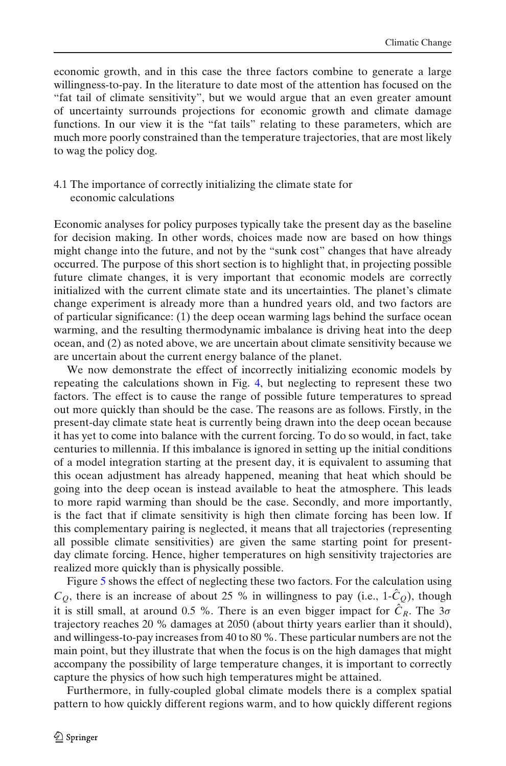economic growth, and in this case the three factors combine to generate a large willingness-to-pay. In the literature to date most of the attention has focused on the "fat tail of climate sensitivity", but we would argue that an even greater amount of uncertainty surrounds projections for economic growth and climate damage functions. In our view it is the "fat tails" relating to these parameters, which are much more poorly constrained than the temperature trajectories, that are most likely to wag the policy dog.

## 4.1 The importance of correctly initializing the climate state for economic calculations

Economic analyses for policy purposes typically take the present day as the baseline for decision making. In other words, choices made now are based on how things might change into the future, and not by the "sunk cost" changes that have already occurred. The purpose of this short section is to highlight that, in projecting possible future climate changes, it is very important that economic models are correctly initialized with the current climate state and its uncertainties. The planet's climate change experiment is already more than a hundred years old, and two factors are of particular significance: (1) the deep ocean warming lags behind the surface ocean warming, and the resulting thermodynamic imbalance is driving heat into the deep ocean, and (2) as noted above, we are uncertain about climate sensitivity because we are uncertain about the current energy balance of the planet.

We now demonstrate the effect of incorrectly initializing economic models by repeating the calculations shown in Fig. [4,](#page-8-0) but neglecting to represent these two factors. The effect is to cause the range of possible future temperatures to spread out more quickly than should be the case. The reasons are as follows. Firstly, in the present-day climate state heat is currently being drawn into the deep ocean because it has yet to come into balance with the current forcing. To do so would, in fact, take centuries to millennia. If this imbalance is ignored in setting up the initial conditions of a model integration starting at the present day, it is equivalent to assuming that this ocean adjustment has already happened, meaning that heat which should be going into the deep ocean is instead available to heat the atmosphere. This leads to more rapid warming than should be the case. Secondly, and more importantly, is the fact that if climate sensitivity is high then climate forcing has been low. If this complementary pairing is neglected, it means that all trajectories (representing all possible climate sensitivities) are given the same starting point for presentday climate forcing. Hence, higher temperatures on high sensitivity trajectories are realized more quickly than is physically possible.

Figure [5](#page-12-0) shows the effect of neglecting these two factors. For the calculation using  $C_Q$ , there is an increase of about 25 % in willingness to pay (i.e., 1- $\hat{C}_Q$ ), though it is still small, at around 0.5 %. There is an even bigger impact for  $\hat{C}_R$ . The 3 $\sigma$ trajectory reaches 20 % damages at 2050 (about thirty years earlier than it should), and willingess-to-pay increases from 40 to 80 %. These particular numbers are not the main point, but they illustrate that when the focus is on the high damages that might accompany the possibility of large temperature changes, it is important to correctly capture the physics of how such high temperatures might be attained.

Furthermore, in fully-coupled global climate models there is a complex spatial pattern to how quickly different regions warm, and to how quickly different regions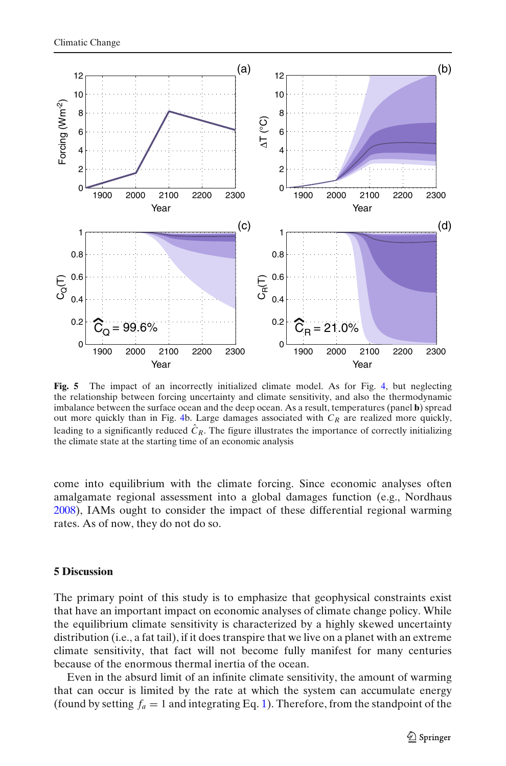<span id="page-12-0"></span>

Fig. 5 The impact of an incorrectly initialized climate model. As for Fig. [4,](#page-8-0) but neglecting the relationship between forcing uncertainty and climate sensitivity, and also the thermodynamic imbalance between the surface ocean and the deep ocean. As a result, temperatures (panel **b**) spread out more quickly than in Fig. [4b](#page-8-0). Large damages associated with *CR* are realized more quickly, leading to a significantly reduced  $\hat{C}_R$ . The figure illustrates the importance of correctly initializing the climate state at the starting time of an economic analysis

come into equilibrium with the climate forcing. Since economic analyses often amalgamate regional assessment into a global damages function (e.g., Nordhau[s](#page-14-0) [2008\)](#page-14-0), IAMs ought to consider the impact of these differential regional warming rates. As of now, they do not do so.

#### **5 Discussion**

The primary point of this study is to emphasize that geophysical constraints exist that have an important impact on economic analyses of climate change policy. While the equilibrium climate sensitivity is characterized by a highly skewed uncertainty distribution (i.e., a fat tail), if it does transpire that we live on a planet with an extreme climate sensitivity, that fact will not become fully manifest for many centuries because of the enormous thermal inertia of the ocean.

Even in the absurd limit of an infinite climate sensitivity, the amount of warming that can occur is limited by the rate at which the system can accumulate energy (found by setting  $f_a = 1$  and integrating Eq. [1\)](#page-3-0). Therefore, from the standpoint of the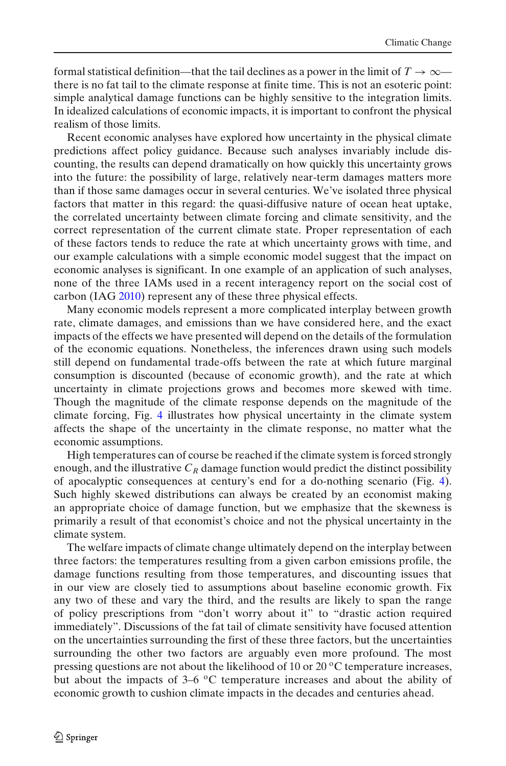formal statistical definition—that the tail declines as a power in the limit of  $T \to \infty$  there is no fat tail to the climate response at finite time. This is not an esoteric point: simple analytical damage functions can be highly sensitive to the integration limits. In idealized calculations of economic impacts, it is important to confront the physical realism of those limits.

Recent economic analyses have explored how uncertainty in the physical climate predictions affect policy guidance. Because such analyses invariably include discounting, the results can depend dramatically on how quickly this uncertainty grows into the future: the possibility of large, relatively near-term damages matters more than if those same damages occur in several centuries. We've isolated three physical factors that matter in this regard: the quasi-diffusive nature of ocean heat uptake, the correlated uncertainty between climate forcing and climate sensitivity, and the correct representation of the current climate state. Proper representation of each of these factors tends to reduce the rate at which uncertainty grows with time, and our example calculations with a simple economic model suggest that the impact on economic analyses is significant. In one example of an application of such analyses, none of the three IAMs used in a recent interagency report on the social cost of carbon (IA[G](#page-14-0) [2010](#page-14-0)) represent any of these three physical effects.

Many economic models represent a more complicated interplay between growth rate, climate damages, and emissions than we have considered here, and the exact impacts of the effects we have presented will depend on the details of the formulation of the economic equations. Nonetheless, the inferences drawn using such models still depend on fundamental trade-offs between the rate at which future marginal consumption is discounted (because of economic growth), and the rate at which uncertainty in climate projections grows and becomes more skewed with time. Though the magnitude of the climate response depends on the magnitude of the climate forcing, Fig. [4](#page-8-0) illustrates how physical uncertainty in the climate system affects the shape of the uncertainty in the climate response, no matter what the economic assumptions.

High temperatures can of course be reached if the climate system is forced strongly enough, and the illustrative  $C_R$  damage function would predict the distinct possibility of apocalyptic consequences at century's end for a do-nothing scenario (Fig. [4\)](#page-8-0). Such highly skewed distributions can always be created by an economist making an appropriate choice of damage function, but we emphasize that the skewness is primarily a result of that economist's choice and not the physical uncertainty in the climate system.

The welfare impacts of climate change ultimately depend on the interplay between three factors: the temperatures resulting from a given carbon emissions profile, the damage functions resulting from those temperatures, and discounting issues that in our view are closely tied to assumptions about baseline economic growth. Fix any two of these and vary the third, and the results are likely to span the range of policy prescriptions from "don't worry about it" to "drastic action required immediately". Discussions of the fat tail of climate sensitivity have focused attention on the uncertainties surrounding the first of these three factors, but the uncertainties surrounding the other two factors are arguably even more profound. The most pressing questions are not about the likelihood of 10 or 20  $\rm{^{\circ}C}$  temperature increases, but about the impacts of  $3-6$  °C temperature increases and about the ability of economic growth to cushion climate impacts in the decades and centuries ahead.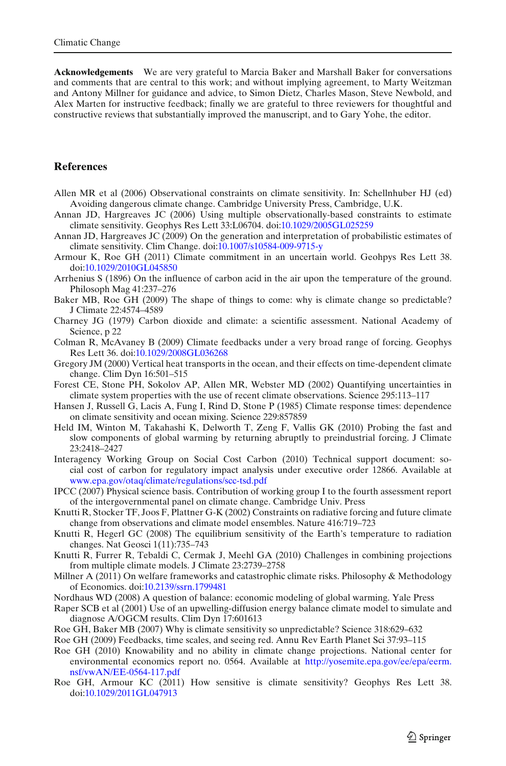<span id="page-14-0"></span>**Acknowledgements** We are very grateful to Marcia Baker and Marshall Baker for conversations and comments that are central to this work; and without implying agreement, to Marty Weitzman and Antony Millner for guidance and advice, to Simon Dietz, Charles Mason, Steve Newbold, and Alex Marten for instructive feedback; finally we are grateful to three reviewers for thoughtful and constructive reviews that substantially improved the manuscript, and to Gary Yohe, the editor.

#### **References**

- Allen MR et al (2006) Observational constraints on climate sensitivity. In: Schellnhuber HJ (ed) Avoiding dangerous climate change. Cambridge University Press, Cambridge, U.K.
- Annan JD, Hargreaves JC (2006) Using multiple observationally-based constraints to estimate climate sensitivity. Geophys Res Lett 33:L06704. doi[:10.1029/2005GL025259](http://dx.doi.org/10.1029/2005GL025259)
- Annan JD, Hargreaves JC (2009) On the generation and interpretation of probabilistic estimates of climate sensitivity. Clim Change. doi[:10.1007/s10584-009-9715-y](http://dx.doi.org/10.1007/s10584-009-9715-y)
- Armour K, Roe GH (2011) Climate commitment in an uncertain world. Geohpys Res Lett 38. doi[:10.1029/2010GL045850](http://dx.doi.org/10.1029/2010GL045850)
- Arrhenius S (1896) On the influence of carbon acid in the air upon the temperature of the ground. Philosoph Mag 41:237–276
- Baker MB, Roe GH (2009) The shape of things to come: why is climate change so predictable? J Climate 22:4574–4589
- Charney JG (1979) Carbon dioxide and climate: a scientific assessment. National Academy of Science, p 22
- Colman R, McAvaney B (2009) Climate feedbacks under a very broad range of forcing. Geophys Res Lett 36. doi[:10.1029/2008GL036268](http://dx.doi.org/10.1029/2008GL036268)
- Gregory JM (2000) Vertical heat transports in the ocean, and their effects on time-dependent climate change. Clim Dyn 16:501–515
- Forest CE, Stone PH, Sokolov AP, Allen MR, Webster MD (2002) Quantifying uncertainties in climate system properties with the use of recent climate observations. Science 295:113–117
- Hansen J, Russell G, Lacis A, Fung I, Rind D, Stone P (1985) Climate response times: dependence on climate sensitivity and ocean mixing. Science 229:857859
- Held IM, Winton M, Takahashi K, Delworth T, Zeng F, Vallis GK (2010) Probing the fast and slow components of global warming by returning abruptly to preindustrial forcing. J Climate 23:2418–2427
- Interagency Working Group on Social Cost Carbon (2010) Technical support document: social cost of carbon for regulatory impact analysis under executive order 12866. Available at [www.epa.gov/otaq/climate/regulations/scc-tsd.pdf](http://www.epa.gov/otaq/climate/regulations/scc-tsd.pdf)
- IPCC (2007) Physical science basis. Contribution of working group I to the fourth assessment report of the intergovernmental panel on climate change. Cambridge Univ. Press
- Knutti R, Stocker TF, Joos F, Plattner G-K (2002) Constraints on radiative forcing and future climate change from observations and climate model ensembles. Nature 416:719–723
- Knutti R, Hegerl GC (2008) The equilibrium sensitivity of the Earth's temperature to radiation changes. Nat Geosci 1(11):735–743
- Knutti R, Furrer R, Tebaldi C, Cermak J, Meehl GA (2010) Challenges in combining projections from multiple climate models. J Climate 23:2739–2758
- Millner A (2011) On welfare frameworks and catastrophic climate risks. Philosophy & Methodology of Economics. doi[:10.2139/ssrn.1799481](http://dx.doi.org/10.2139/ssrn.1799481)
- Nordhaus WD (2008) A question of balance: economic modeling of global warming. Yale Press
- Raper SCB et al (2001) Use of an upwelling-diffusion energy balance climate model to simulate and diagnose A/OGCM results. Clim Dyn 17:601613
- Roe GH, Baker MB (2007) Why is climate sensitivity so unpredictable? Science 318:629–632
- Roe GH (2009) Feedbacks, time scales, and seeing red. Annu Rev Earth Planet Sci 37:93–115
- Roe GH (2010) Knowability and no ability in climate change projections. National center for environmental economics report no. 0564. Available at [http://yosemite.epa.gov/ee/epa/eerm.](http://yosemite.epa.gov/ee/epa/eerm.nsf/vwAN/EE-0564-117.pdf) [nsf/vwAN/EE-0564-117.pdf](http://yosemite.epa.gov/ee/epa/eerm.nsf/vwAN/EE-0564-117.pdf)
- Roe GH, Armour KC (2011) How sensitive is climate sensitivity? Geophys Res Lett 38. doi[:10.1029/2011GL047913](http://dx.doi.org/10.1029/2011GL047913)